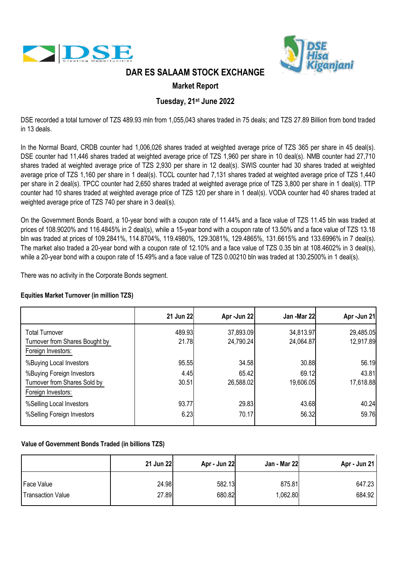



## **DAR ES SALAAM STOCK EXCHANGE**

### **Market Report**

## **Tuesday, 21st June 2022**

DSE recorded a total turnover of TZS 489.93 mln from 1,055,043 shares traded in 75 deals; and TZS 27.89 Billion from bond traded in 13 deals.

In the Normal Board, CRDB counter had 1,006,026 shares traded at weighted average price of TZS 365 per share in 45 deal(s). DSE counter had 11,446 shares traded at weighted average price of TZS 1,960 per share in 10 deal(s). NMB counter had 27,710 shares traded at weighted average price of TZS 2,930 per share in 12 deal(s). SWIS counter had 30 shares traded at weighted average price of TZS 1,160 per share in 1 deal(s). TCCL counter had 7,131 shares traded at weighted average price of TZS 1,440 per share in 2 deal(s). TPCC counter had 2,650 shares traded at weighted average price of TZS 3,800 per share in 1 deal(s). TTP counter had 10 shares traded at weighted average price of TZS 120 per share in 1 deal(s). VODA counter had 40 shares traded at weighted average price of TZS 740 per share in 3 deal(s).

On the Government Bonds Board, a 10-year bond with a coupon rate of 11.44% and a face value of TZS 11.45 bln was traded at prices of 108.9020% and 116.4845% in 2 deal(s), while a 15-year bond with a coupon rate of 13.50% and a face value of TZS 13.18 bln was traded at prices of 109.2841%, 114.8704%, 119.4980%, 129.3081%, 129.4865%, 131.6615% and 133.6996% in 7 deal(s). The market also traded a 20-year bond with a coupon rate of 12.10% and a face value of TZS 0.35 bln at 108.4602% in 3 deal(s), while a 20-year bond with a coupon rate of 15.49% and a face value of TZS 0.00210 bln was traded at 130.2500% in 1 deal(s).

There was no activity in the Corporate Bonds segment.

### **Equities Market Turnover (in million TZS)**

|                                                                                 | 21 Jun 22       | Apr-Jun 22             | Jan -Mar 22            | Apr-Jun 21             |
|---------------------------------------------------------------------------------|-----------------|------------------------|------------------------|------------------------|
| <b>Total Turnover</b><br>Turnover from Shares Bought by<br>Foreign Investors:   | 489.93<br>21.78 | 37,893.09<br>24,790.24 | 34,813.97<br>24,064.87 | 29,485.05<br>12,917.89 |
| %Buying Local Investors                                                         | 95.55           | 34.58                  | 30.88                  | 56.19                  |
| %Buying Foreign Investors<br>Turnover from Shares Sold by<br>Foreign Investors: | 4.45<br>30.51   | 65.42<br>26,588.02     | 69.12<br>19,606.05     | 43.81<br>17,618.88     |
| %Selling Local Investors<br>%Selling Foreign Investors                          | 93.77<br>6.23   | 29.83<br>70.17         | 43.68<br>56.32         | 40.24<br>59.76         |

### **Value of Government Bonds Traded (in billions TZS)**

|                          | 21 Jun 22 | Apr - Jun 22 | Jan - Mar 22 | Apr - Jun 21 |
|--------------------------|-----------|--------------|--------------|--------------|
| Face Value               | 24.98     | 582.13       | 875.81       | 647.23       |
| <b>Transaction Value</b> | 27.89     | 680.82       | 1,062.80     | 684.92       |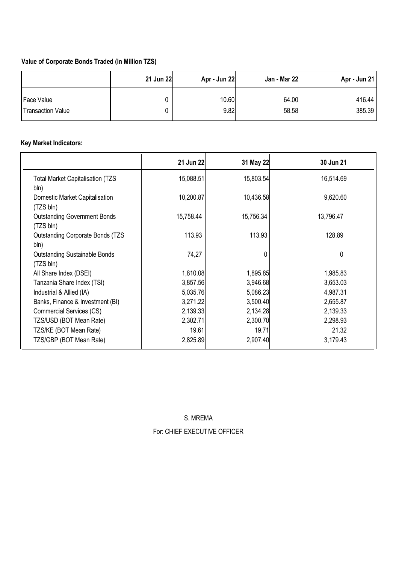## **Value of Corporate Bonds Traded (in Million TZS)**

|                          | 21 Jun 22 | Apr - Jun 22 | Jan - Mar 22 | Apr - Jun 21 |
|--------------------------|-----------|--------------|--------------|--------------|
| Face Value               |           | 10.60        | 64.00        | 416.44       |
| <b>Transaction Value</b> |           | 9.82         | 58.58        | 385.39       |

# **Key Market Indicators:**

|                                                   | 21 Jun 22 | 31 May 22 | 30 Jun 21 |
|---------------------------------------------------|-----------|-----------|-----------|
| <b>Total Market Capitalisation (TZS)</b><br>bln)  | 15,088.51 | 15,803.54 | 16,514.69 |
| Domestic Market Capitalisation<br>(TZS bln)       | 10,200.87 | 10,436.58 | 9,620.60  |
| <b>Outstanding Government Bonds</b><br>(TZS bln)  | 15,758.44 | 15,756.34 | 13,796.47 |
| <b>Outstanding Corporate Bonds (TZS)</b><br>bln)  | 113.93    | 113.93    | 128.89    |
| <b>Outstanding Sustainable Bonds</b><br>(TZS bln) | 74,27     |           | 0         |
| All Share Index (DSEI)                            | 1,810.08  | 1,895.85  | 1,985.83  |
| Tanzania Share Index (TSI)                        | 3,857.56  | 3,946.68  | 3,653.03  |
| Industrial & Allied (IA)                          | 5,035.76  | 5,086.23  | 4,987.31  |
| Banks, Finance & Investment (BI)                  | 3,271.22  | 3,500.40  | 2,655.87  |
| Commercial Services (CS)                          | 2,139.33  | 2,134.28  | 2,139.33  |
| TZS/USD (BOT Mean Rate)                           | 2,302.71  | 2,300.70  | 2,298.93  |
| TZS/KE (BOT Mean Rate)                            | 19.61     | 19.71     | 21.32     |
| TZS/GBP (BOT Mean Rate)                           | 2,825.89  | 2,907.40  | 3,179.43  |

S. MREMA For: CHIEF EXECUTIVE OFFICER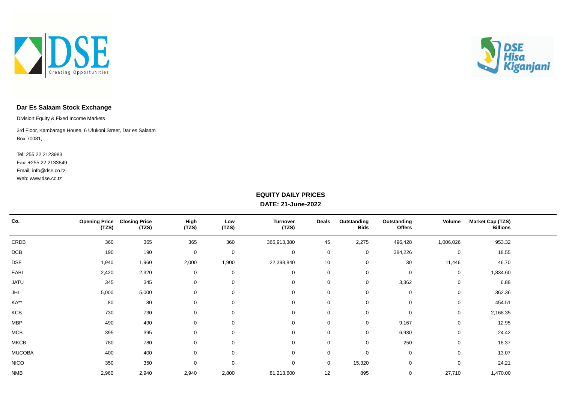



#### **Dar Es Salaam Stock Exchange**

Division:Equity & Fixed Income Markets

Box 70081, 3rd Floor, Kambarage House, 6 Ufukoni Street, Dar es Salaam

Web: www.dse.co.tz Fax: +255 22 2133849 Tel: 255 22 2123983 Email: info@dse.co.tz

#### **EQUITY DAILY PRICES DATE: 21-June-2022**

| Co.           | <b>Opening Price</b><br>(TZS) | <b>Closing Price</b><br>(TZS) | High<br>(TZS) | Low<br>(TZS) | <b>Turnover</b><br>(TZS) | Deals       | Outstanding<br><b>Bids</b> | Outstanding<br><b>Offers</b> | Volume      | <b>Market Cap (TZS)</b><br><b>Billions</b> |  |
|---------------|-------------------------------|-------------------------------|---------------|--------------|--------------------------|-------------|----------------------------|------------------------------|-------------|--------------------------------------------|--|
| CRDB          | 360                           | 365                           | 365           | 360          | 365,913,380              | 45          | 2,275                      | 496,428                      | 1,006,026   | 953.32                                     |  |
| DCB           | 190                           | 190                           | $\mathbf 0$   | $\mathbf 0$  | $\mathbf 0$              | $\mathbf 0$ | 0                          | 384,226                      | $\mathbf 0$ | 18.55                                      |  |
| DSE           | 1,940                         | 1,960                         | 2,000         | 1,900        | 22,398,840               | 10          | $\mathbf 0$                | 30                           | 11,446      | 46.70                                      |  |
| EABL          | 2,420                         | 2,320                         | 0             | $\mathbf 0$  | $\mathbf 0$              | $\mathbf 0$ | 0                          | 0                            | $\mathbf 0$ | 1,834.60                                   |  |
| <b>JATU</b>   | 345                           | 345                           | 0             | $\mathbf 0$  | 0                        | 0           | 0                          | 3,362                        | 0           | 6.88                                       |  |
| <b>JHL</b>    | 5,000                         | 5,000                         | 0             | 0            | $\mathbf 0$              | 0           | $\mathbf 0$                | 0                            | 0           | 362.36                                     |  |
| KA**          | 80                            | 80                            | 0             | $\mathbf 0$  | $\mathbf 0$              | $\mathbf 0$ | 0                          | $\mathbf 0$                  | 0           | 454.51                                     |  |
| KCB           | 730                           | 730                           | 0             | $\mathbf 0$  | $\mathbf 0$              | 0           | 0                          | 0                            | 0           | 2,168.35                                   |  |
| <b>MBP</b>    | 490                           | 490                           | 0             | 0            | $\mathbf 0$              | 0           | 0                          | 9,167                        | 0           | 12.95                                      |  |
| MCB           | 395                           | 395                           | 0             | $\mathbf 0$  | $\mathbf 0$              | $\mathbf 0$ | 0                          | 6,930                        | 0           | 24.42                                      |  |
| <b>MKCB</b>   | 780                           | 780                           | 0             | $\mathbf 0$  | $\mathbf 0$              | $\mathbf 0$ | 0                          | 250                          | 0           | 18.37                                      |  |
| <b>MUCOBA</b> | 400                           | 400                           | 0             | 0            | $\mathbf 0$              | 0           | 0                          | 0                            | 0           | 13.07                                      |  |
| <b>NICO</b>   | 350                           | 350                           | 0             | 0            | $\mathbf 0$              | $\mathbf 0$ | 15,320                     | $\mathbf 0$                  | $\mathbf 0$ | 24.21                                      |  |
| <b>NMB</b>    | 2,960                         | 2,940                         | 2,940         | 2,800        | 81,213,600               | 12          | 895                        | 0                            | 27,710      | 1,470.00                                   |  |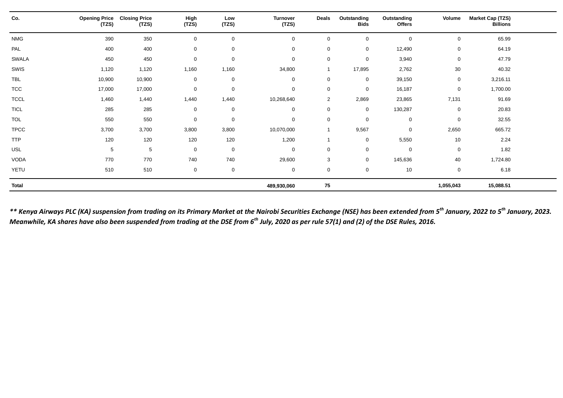| Co.          | <b>Opening Price</b><br>(TZS) | <b>Closing Price</b><br>(TZS) | High<br>(TZS)       | Low<br>(TZS)        | <b>Turnover</b><br>(TZS) | <b>Deals</b>   | Outstanding<br><b>Bids</b> | Outstanding<br><b>Offers</b> | Volume      | <b>Market Cap (TZS)</b><br><b>Billions</b> |  |
|--------------|-------------------------------|-------------------------------|---------------------|---------------------|--------------------------|----------------|----------------------------|------------------------------|-------------|--------------------------------------------|--|
| <b>NMG</b>   | 390                           | 350                           | $\mathsf{O}\xspace$ | $\mathbf 0$         | $\mathbf 0$              | $\Omega$       | $\mathbf 0$                | $\mathbf 0$                  | 0           | 65.99                                      |  |
| PAL          | 400                           | 400                           | $\mathbf 0$         | $\mathbf 0$         | $\mathbf 0$              | $\mathbf 0$    | $\mathbf 0$                | 12,490                       | 0           | 64.19                                      |  |
| <b>SWALA</b> | 450                           | 450                           | $\mathbf 0$         | $\mathbf 0$         | $\mathbf 0$              | $\mathbf 0$    | $\mathbf 0$                | 3,940                        | 0           | 47.79                                      |  |
| SWIS         | 1,120                         | 1,120                         | 1,160               | 1,160               | 34,800                   | $\overline{1}$ | 17,895                     | 2,762                        | $30\,$      | 40.32                                      |  |
| <b>TBL</b>   | 10,900                        | 10,900                        | $\mathsf{O}\xspace$ | $\mathsf{O}\xspace$ | $\mathbf 0$              | $\mathbf 0$    | $\mathbf 0$                | 39,150                       | 0           | 3,216.11                                   |  |
| <b>TCC</b>   | 17,000                        | 17,000                        | $\mathsf{O}\xspace$ | $\mathsf{O}\xspace$ | $\mathbf 0$              | $\mathbf 0$    | $\mathbf 0$                | 16,187                       | 0           | 1,700.00                                   |  |
| <b>TCCL</b>  | 1,460                         | 1,440                         | 1,440               | 1,440               | 10,268,640               | $\overline{2}$ | 2,869                      | 23,865                       | 7,131       | 91.69                                      |  |
| <b>TICL</b>  | 285                           | 285                           | $\mathbf 0$         | $\mathbf 0$         | $\mathbf 0$              | $\mathbf 0$    | $\mathbf 0$                | 130,287                      | 0           | 20.83                                      |  |
| <b>TOL</b>   | 550                           | 550                           | $\mathbf 0$         | $\mathbf 0$         | $\mathbf 0$              | $\mathbf 0$    | $\mathbf 0$                | $\mathbf 0$                  | 0           | 32.55                                      |  |
| <b>TPCC</b>  | 3,700                         | 3,700                         | 3,800               | 3,800               | 10,070,000               | $\overline{1}$ | 9,567                      | $\mathbf 0$                  | 2,650       | 665.72                                     |  |
| <b>TTP</b>   | 120                           | 120                           | 120                 | 120                 | 1,200                    |                | $\mathbf 0$                | 5,550                        | 10          | 2.24                                       |  |
| USL          | 5                             | 5                             | $\mathbf 0$         | $\mathbf 0$         | $\mathbf 0$              | $\Omega$       | 0                          | $\mathbf 0$                  | $\mathbf 0$ | 1.82                                       |  |
| VODA         | 770                           | 770                           | 740                 | 740                 | 29,600                   | 3              | $\mathbf 0$                | 145,636                      | 40          | 1,724.80                                   |  |
| YETU         | 510                           | 510                           | $\mathbf 0$         | $\mathsf 0$         | 0                        | $\mathbf 0$    | $\mathbf 0$                | 10                           | 0           | 6.18                                       |  |
| <b>Total</b> |                               |                               |                     |                     | 489,930,060              | 75             |                            |                              | 1,055,043   | 15,088.51                                  |  |

*\*\* Kenya Airways PLC (KA) suspension from trading on its Primary Market at the Nairobi Securities Exchange (NSE) has been extended from 5th January, 2022 to 5th January, 2023. Meanwhile, KA shares have also been suspended from trading at the DSE from 6th July, 2020 as per rule 57(1) and (2) of the DSE Rules, 2016.*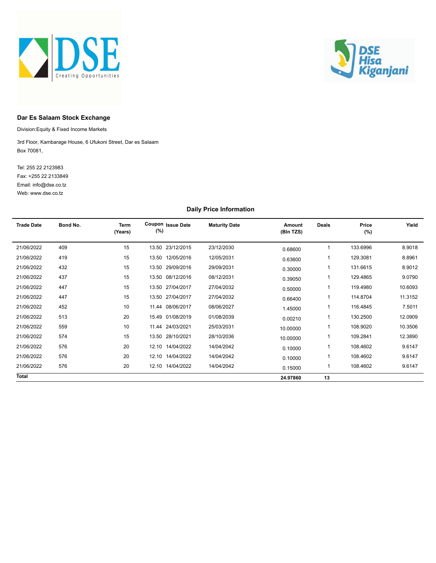



#### **Dar Es Salaam Stock Exchange**

Division:Equity & Fixed Income Markets

Box 70081, 3rd Floor, Kambarage House, 6 Ufukoni Street, Dar es Salaam

Web: www.dse.co.tz Fax: +255 22 2133849 Tel: 255 22 2123983 Email: info@dse.co.tz

#### **Daily Price Information**

| <b>Trade Date</b> | Bond No. | Term<br>(Years) | Coupon Issue Date<br>(%) | <b>Maturity Date</b> | Amount<br>(Bln TZS) | <b>Deals</b> | Price<br>(%) | Yield   |
|-------------------|----------|-----------------|--------------------------|----------------------|---------------------|--------------|--------------|---------|
| 21/06/2022        | 409      | 15              | 13.50 23/12/2015         | 23/12/2030           | 0.68600             |              | 133.6996     | 8.9018  |
| 21/06/2022        | 419      | 15              | 13.50 12/05/2016         | 12/05/2031           | 0.63600             |              | 129.3081     | 8.8961  |
| 21/06/2022        | 432      | 15              | 13.50 29/09/2016         | 29/09/2031           | 0.30000             |              | 131.6615     | 8.9012  |
| 21/06/2022        | 437      | 15              | 13.50 08/12/2016         | 08/12/2031           | 0.39050             |              | 129.4865     | 9.0790  |
| 21/06/2022        | 447      | 15              | 13.50 27/04/2017         | 27/04/2032           | 0.50000             |              | 119.4980     | 10.6093 |
| 21/06/2022        | 447      | 15              | 13.50 27/04/2017         | 27/04/2032           | 0.66400             |              | 114.8704     | 11.3152 |
| 21/06/2022        | 452      | 10              | 11.44 08/06/2017         | 08/06/2027           | 1.45000             |              | 116.4845     | 7.5011  |
| 21/06/2022        | 513      | 20              | 15.49 01/08/2019         | 01/08/2039           | 0.00210             |              | 130.2500     | 12.0909 |
| 21/06/2022        | 559      | 10              | 11.44 24/03/2021         | 25/03/2031           | 10.00000            |              | 108.9020     | 10.3506 |
| 21/06/2022        | 574      | 15              | 13.50 28/10/2021         | 28/10/2036           | 10.00000            |              | 109.2841     | 12.3890 |
| 21/06/2022        | 576      | 20              | 12.10 14/04/2022         | 14/04/2042           | 0.10000             |              | 108.4602     | 9.6147  |
| 21/06/2022        | 576      | 20              | 12.10 14/04/2022         | 14/04/2042           | 0.10000             |              | 108.4602     | 9.6147  |
| 21/06/2022        | 576      | 20              | 12.10 14/04/2022         | 14/04/2042           | 0.15000             |              | 108.4602     | 9.6147  |
| Total             |          |                 |                          |                      | 24.97860            | 13           |              |         |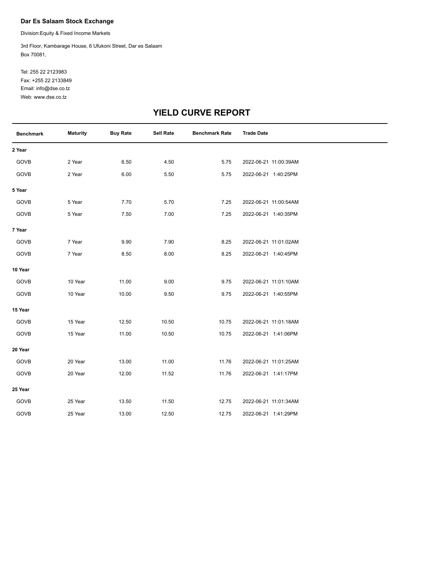#### **Dar Es Salaam Stock Exchange**

Division:Equity & Fixed Income Markets

Box 70081, 3rd Floor, Kambarage House, 6 Ufukoni Street, Dar es Salaam

Web: www.dse.co.tz Fax: +255 22 2133849 Tel: 255 22 2123983 Email: info@dse.co.tz

# **YIELD CURVE REPORT**

| <b>Benchmark</b> | <b>Maturity</b> | <b>Buy Rate</b> | Sell Rate | <b>Benchmark Rate</b> | <b>Trade Date</b>     |
|------------------|-----------------|-----------------|-----------|-----------------------|-----------------------|
| 2 Year           |                 |                 |           |                       |                       |
| GOVB             | 2 Year          | 6.50            | 4.50      | 5.75                  | 2022-06-21 11:00:39AM |
| GOVB             | 2 Year          | 6.00            | 5.50      | 5.75                  | 2022-06-21 1:40:25PM  |
| 5 Year           |                 |                 |           |                       |                       |
| GOVB             | 5 Year          | 7.70            | 5.70      | 7.25                  | 2022-06-21 11:00:54AM |
| GOVB             | 5 Year          | 7.50            | 7.00      | 7.25                  | 2022-06-21 1:40:35PM  |
| 7 Year           |                 |                 |           |                       |                       |
| GOVB             | 7 Year          | 9.90            | 7.90      | 8.25                  | 2022-06-21 11:01:02AM |
| GOVB             | 7 Year          | 8.50            | 8.00      | 8.25                  | 2022-06-21 1:40:45PM  |
| 10 Year          |                 |                 |           |                       |                       |
| GOVB             | 10 Year         | 11.00           | 9.00      | 9.75                  | 2022-06-21 11:01:10AM |
| GOVB             | 10 Year         | 10.00           | 9.50      | 9.75                  | 2022-06-21 1:40:55PM  |
| 15 Year          |                 |                 |           |                       |                       |
| GOVB             | 15 Year         | 12.50           | 10.50     | 10.75                 | 2022-06-21 11:01:18AM |
| GOVB             | 15 Year         | 11.00           | 10.50     | 10.75                 | 2022-06-21 1:41:06PM  |
| 20 Year          |                 |                 |           |                       |                       |
| GOVB             | 20 Year         | 13.00           | 11.00     | 11.76                 | 2022-06-21 11:01:25AM |
| GOVB             | 20 Year         | 12.00           | 11.52     | 11.76                 | 2022-06-21 1:41:17PM  |
| 25 Year          |                 |                 |           |                       |                       |
| GOVB             | 25 Year         | 13.50           | 11.50     | 12.75                 | 2022-06-21 11:01:34AM |
| GOVB             | 25 Year         | 13.00           | 12.50     | 12.75                 | 2022-06-21 1:41:29PM  |